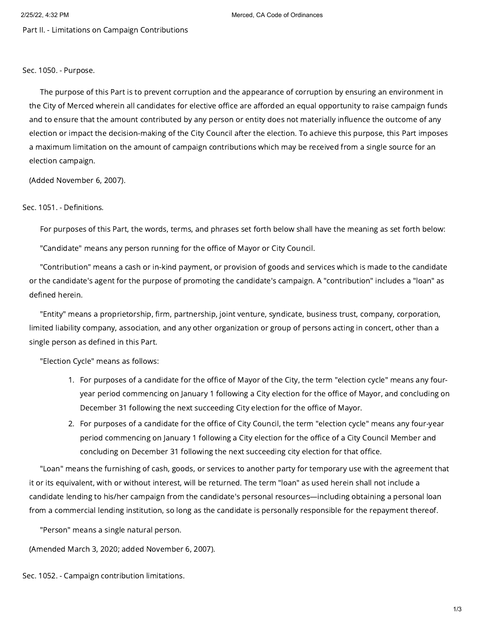2/25/22, 4:32 PM Merced, CA Code of Ordinances

Part II. - Limitations on Campaign Contributions

Sec. 1050. - Purpose.

The purpose of this Part is to prevent corruption and the appearance of corruption by ensuring an environment in the City of Merced wherein all candidates for elective office are afforded an equal opportunity to raise campaign funds and to ensure that the amount contributed by any person or entity does not materially influence the outcome of any election or impact the decision-making of the City Council after the election. To achieve this purpose, this Part imposes a maximum limitation on the amount of campaign contributions which may be received from a single source for an election campaign.

(Added November 6, 2007).

## Sec. 1051. - Definitions.

For purposes of this Part, the words, terms, and phrases set forth below shall have the meaning as set forth below:

"Candidate" means any person running for the office of Mayor or City Council.

"Contribution" means a cash or in-kind payment, or provision of goods and services which is made to the candidate or the candidate's agent for the purpose of promoting the candidate's campaign. A "contribution" includes a "loan" as defined herein.

"Entity" means a proprietorship, firm, partnership, joint venture, syndicate, business trust, company, corporation, limited liability company, association, and any other organization or group of persons acting in concert, other than a single person as defined in this Part.

"Election Cycle" means as follows:

- 1. For purposes of a candidate for the office of Mayor of the City, the term "election cycle" means any fouryear period commencing on January 1 following a City election for the office of Mayor, and concluding on December 31 following the next succeeding City election for the office of Mayor.
- 2. For purposes of a candidate for the office of City Council, the term "election cycle" means any four-year period commencing on January 1 following a City election for the office of a City Council Member and concluding on December 31 following the next succeeding city election for that office.

"Loan" means the furnishing of cash, goods, or services to another party for temporary use with the agreement that it or its equivalent, with or without interest, will be returned. The term "loan" as used herein shall not include a candidate lending to his/her campaign from the candidate's personal resources—including obtaining a personal loan from a commercial lending institution, so long as the candidate is personally responsible for the repayment thereof.

"Person" means a single natural person.

(Amended March 3, 2020; added November 6, 2007).

Sec. 1052. - Campaign contribution limitations.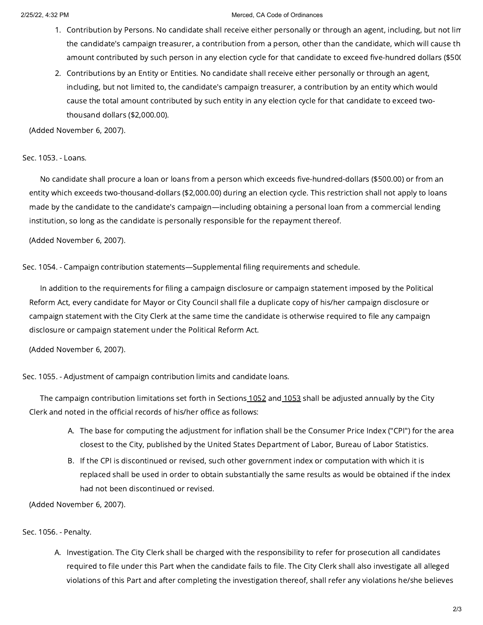## 2/25/22, 4:32 PM Merced, CA Code of Ordinances

- 1. Contribution by Persons. No candidate shall receive either personally or through an agent, including, but not lim the candidate's campaign treasurer, a contribution from a person, other than the candidate, which will cause th amount contributed by such person in any election cycle for that candidate to exceed five-hundred dollars (\$500
- 2. Contributions by an Entity or Entities. No candidate shall receive either personally or through an agent, including, but not limited to, the candidate's campaign treasurer, a contribution by an entity which would cause the total amount contributed by such entity in any election cycle for that candidate to exceed twothousand dollars (\$2,000.00).

(Added November 6, 2007).

Sec. 1053. - Loans.

No candidate shall procure a loan or loans from a person which exceeds five-hundred-dollars (\$500.00) or from an entity which exceeds two-thousand-dollars (\$2,000.00) during an election cycle. This restriction shall not apply to loans made by the candidate to the candidate's campaign—including obtaining a personal loan from a commercial lending institution, so long as the candidate is personally responsible for the repayment thereof.

(Added November 6, 2007).

Sec. 1054. - Campaign contribution statements—Supplemental filing requirements and schedule.

In addition to the requirements for filing a campaign disclosure or campaign statement imposed by the Political Reform Act, every candidate for Mayor or City Council shall file a duplicate copy of his/her campaign disclosure or campaign statement with the City Clerk at the same time the candidate is otherwise required to file any campaign disclosure or campaign statement under the Political Reform Act.

(Added November 6, 2007).

Sec. 1055. - Adjustment of campaign contribution limits and candidate loans.

The campaign contribution limitations set forth in Sections [1052](https://library.municode.com/) and [1053](https://library.municode.com/) shall be adjusted annually by the City Clerk and noted in the official records of his/her office as follows:

- A. The base for computing the adjustment for inflation shall be the Consumer Price Index ("CPI") for the area closest to the City, published by the United States Department of Labor, Bureau of Labor Statistics.
- B. If the CPI is discontinued or revised, such other government index or computation with which it is replaced shall be used in order to obtain substantially the same results as would be obtained if the index had not been discontinued or revised.

(Added November 6, 2007).

Sec. 1056. - Penalty.

A. Investigation. The City Clerk shall be charged with the responsibility to refer for prosecution all candidates required to file under this Part when the candidate fails to file. The City Clerk shall also investigate all alleged violations of this Part and after completing the investigation thereof, shall refer any violations he/she believes